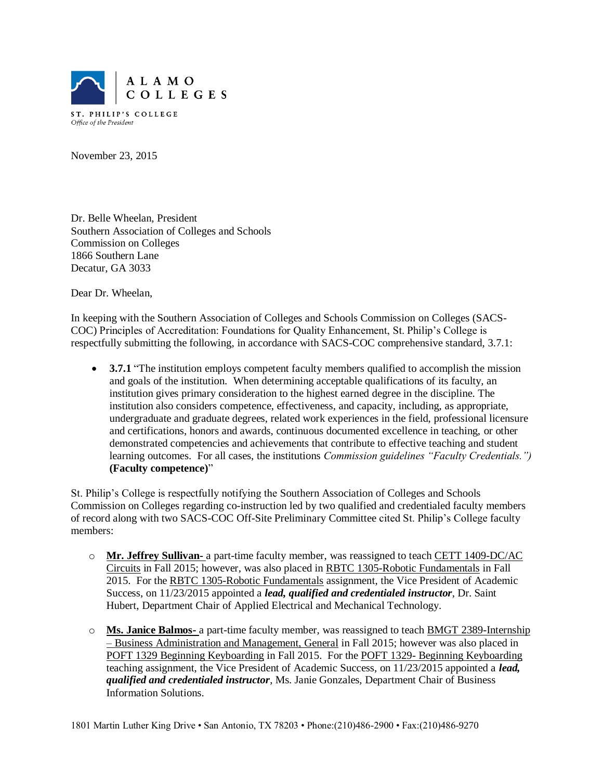

ST. PHILIP'S COLLEGE Office of the President

November 23, 2015

Dr. Belle Wheelan, President Southern Association of Colleges and Schools Commission on Colleges 1866 Southern Lane Decatur, GA 3033

Dear Dr. Wheelan,

In keeping with the Southern Association of Colleges and Schools Commission on Colleges (SACS-COC) Principles of Accreditation: Foundations for Quality Enhancement, St. Philip's College is respectfully submitting the following, in accordance with SACS-COC comprehensive standard, 3.7.1:

• **3.7.1** "The institution employs competent faculty members qualified to accomplish the mission and goals of the institution. When determining acceptable qualifications of its faculty, an institution gives primary consideration to the highest earned degree in the discipline. The institution also considers competence, effectiveness, and capacity, including, as appropriate, undergraduate and graduate degrees, related work experiences in the field, professional licensure and certifications, honors and awards, continuous documented excellence in teaching, or other demonstrated competencies and achievements that contribute to effective teaching and student learning outcomes. For all cases, the institutions *Commission guidelines "Faculty Credentials.")* **(Faculty competence)**"

St. Philip's College is respectfully notifying the Southern Association of Colleges and Schools Commission on Colleges regarding co-instruction led by two qualified and credentialed faculty members of record along with two SACS-COC Off-Site Preliminary Committee cited St. Philip's College faculty members:

- o **Mr. Jeffrey Sullivan-** a part-time faculty member, was reassigned to teach CETT 1409-DC/AC Circuits in Fall 2015; however, was also placed in RBTC 1305-Robotic Fundamentals in Fall 2015. For the RBTC 1305-Robotic Fundamentals assignment, the Vice President of Academic Success, on 11/23/2015 appointed a *lead, qualified and credentialed instructor*, Dr. Saint Hubert, Department Chair of Applied Electrical and Mechanical Technology.
- o **Ms. Janice Balmos-** a part-time faculty member, was reassigned to teach BMGT 2389-Internship – Business Administration and Management, General in Fall 2015; however was also placed in POFT 1329 Beginning Keyboarding in Fall 2015. For the POFT 1329- Beginning Keyboarding teaching assignment, the Vice President of Academic Success, on 11/23/2015 appointed a *lead, qualified and credentialed instructor*, Ms. Janie Gonzales, Department Chair of Business Information Solutions.